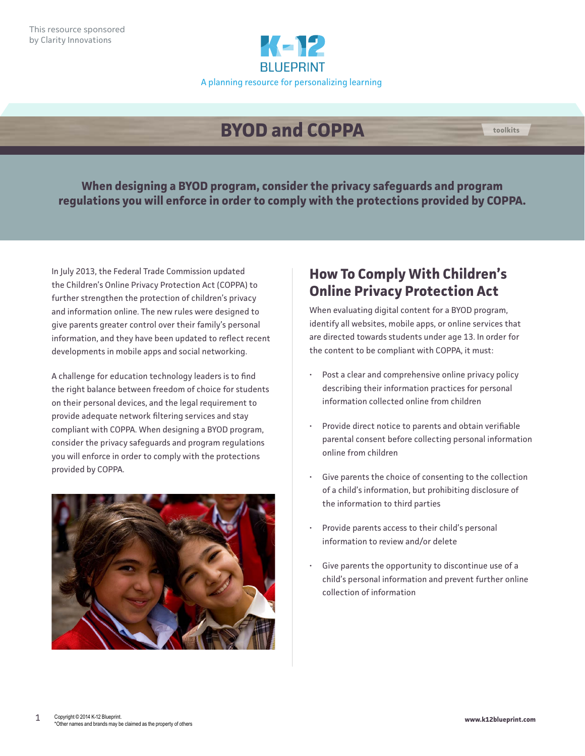

## **BYOD and COPPA toolkits**

**When designing a BYOD program, consider the privacy safeguards and program regulations you will enforce in order to comply with the protections provided by COPPA.**

In July 2013, the Federal Trade Commission updated the Children's Online Privacy Protection Act (COPPA) to further strengthen the protection of children's privacy and information online. The new rules were designed to give parents greater control over their family's personal information, and they have been updated to reflect recent developments in mobile apps and social networking.

A challenge for education technology leaders is to find the right balance between freedom of choice for students on their personal devices, and the legal requirement to provide adequate network filtering services and stay compliant with COPPA. When designing a BYOD program, consider the privacy safeguards and program regulations you will enforce in order to comply with the protections provided by COPPA.



## **How To Comply With Children's Online Privacy Protection Act**

When evaluating digital content for a BYOD program, identify all websites, mobile apps, or online services that are directed towards students under age 13. In order for the content to be compliant with COPPA, it must:

- Post a clear and comprehensive online privacy policy describing their information practices for personal information collected online from children
- Provide direct notice to parents and obtain verifiable parental consent before collecting personal information online from children
- Give parents the choice of consenting to the collection of a child's information, but prohibiting disclosure of the information to third parties
- Provide parents access to their child's personal information to review and/or delete
- Give parents the opportunity to discontinue use of a child's personal information and prevent further online collection of information